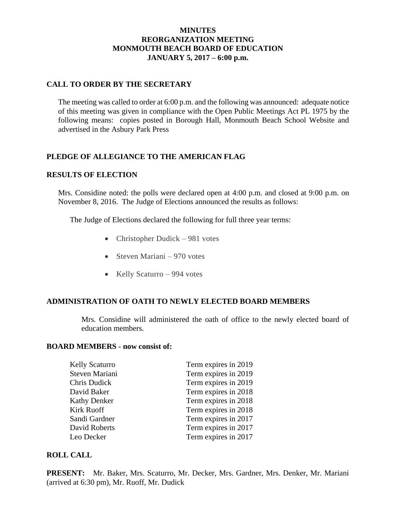### **MINUTES REORGANIZATION MEETING MONMOUTH BEACH BOARD OF EDUCATION JANUARY 5, 2017 – 6:00 p.m.**

### **CALL TO ORDER BY THE SECRETARY**

The meeting was called to order at 6:00 p.m. and the following was announced: adequate notice of this meeting was given in compliance with the Open Public Meetings Act PL 1975 by the following means: copies posted in Borough Hall, Monmouth Beach School Website and advertised in the Asbury Park Press

## **PLEDGE OF ALLEGIANCE TO THE AMERICAN FLAG**

#### **RESULTS OF ELECTION**

Mrs. Considine noted: the polls were declared open at 4:00 p.m. and closed at 9:00 p.m. on November 8, 2016. The Judge of Elections announced the results as follows:

The Judge of Elections declared the following for full three year terms:

- Christopher Dudick 981 votes
- Steven Mariani 970 votes
- Kelly Scaturro 994 votes

#### **ADMINISTRATION OF OATH TO NEWLY ELECTED BOARD MEMBERS**

Mrs. Considine will administered the oath of office to the newly elected board of education members.

#### **BOARD MEMBERS - now consist of:**

| <b>Kelly Scaturro</b> | Term expires in 2019 |
|-----------------------|----------------------|
| Steven Mariani        | Term expires in 2019 |
| Chris Dudick          | Term expires in 2019 |
| David Baker           | Term expires in 2018 |
| <b>Kathy Denker</b>   | Term expires in 2018 |
| <b>Kirk Ruoff</b>     | Term expires in 2018 |
| Sandi Gardner         | Term expires in 2017 |
| David Roberts         | Term expires in 2017 |
| Leo Decker            | Term expires in 2017 |

#### **ROLL CALL**

**PRESENT:** Mr. Baker, Mrs. Scaturro, Mr. Decker, Mrs. Gardner, Mrs. Denker, Mr. Mariani (arrived at 6:30 pm), Mr. Ruoff, Mr. Dudick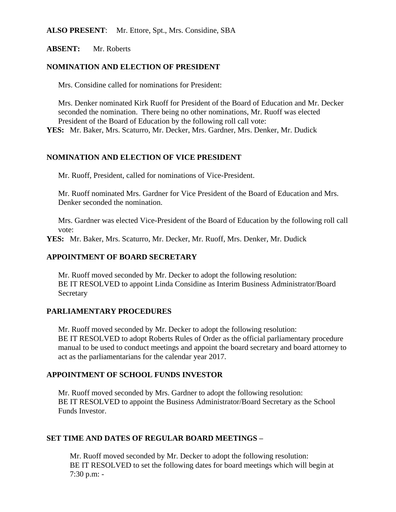#### **ALSO PRESENT**: Mr. Ettore, Spt., Mrs. Considine, SBA

**ABSENT:** Mr. Roberts

#### **NOMINATION AND ELECTION OF PRESIDENT**

Mrs. Considine called for nominations for President:

Mrs. Denker nominated Kirk Ruoff for President of the Board of Education and Mr. Decker seconded the nomination. There being no other nominations, Mr. Ruoff was elected President of the Board of Education by the following roll call vote:

**YES:** Mr. Baker, Mrs. Scaturro, Mr. Decker, Mrs. Gardner, Mrs. Denker, Mr. Dudick

### **NOMINATION AND ELECTION OF VICE PRESIDENT**

Mr. Ruoff, President, called for nominations of Vice-President.

Mr. Ruoff nominated Mrs. Gardner for Vice President of the Board of Education and Mrs. Denker seconded the nomination.

Mrs. Gardner was elected Vice-President of the Board of Education by the following roll call vote:

**YES:** Mr. Baker, Mrs. Scaturro, Mr. Decker, Mr. Ruoff, Mrs. Denker, Mr. Dudick

### **APPOINTMENT OF BOARD SECRETARY**

Mr. Ruoff moved seconded by Mr. Decker to adopt the following resolution: BE IT RESOLVED to appoint Linda Considine as Interim Business Administrator/Board Secretary

#### **PARLIAMENTARY PROCEDURES**

Mr. Ruoff moved seconded by Mr. Decker to adopt the following resolution: BE IT RESOLVED to adopt Roberts Rules of Order as the official parliamentary procedure manual to be used to conduct meetings and appoint the board secretary and board attorney to act as the parliamentarians for the calendar year 2017.

### **APPOINTMENT OF SCHOOL FUNDS INVESTOR**

Mr. Ruoff moved seconded by Mrs. Gardner to adopt the following resolution: BE IT RESOLVED to appoint the Business Administrator/Board Secretary as the School Funds Investor.

### **SET TIME AND DATES OF REGULAR BOARD MEETINGS –**

Mr. Ruoff moved seconded by Mr. Decker to adopt the following resolution: BE IT RESOLVED to set the following dates for board meetings which will begin at 7:30 p.m: -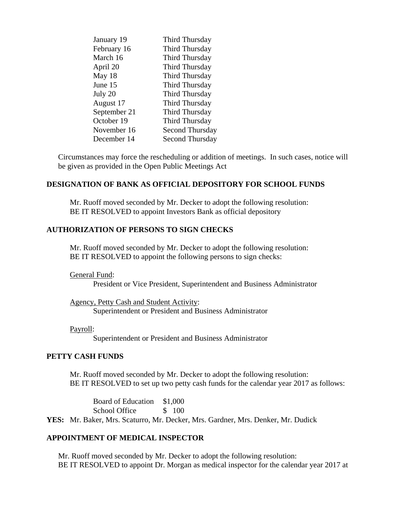| January 19   | Third Thursday         |
|--------------|------------------------|
| February 16  | Third Thursday         |
| March 16     | Third Thursday         |
| April 20     | Third Thursday         |
| May 18       | Third Thursday         |
| June 15      | Third Thursday         |
| July 20      | Third Thursday         |
| August 17    | Third Thursday         |
| September 21 | Third Thursday         |
| October 19   | Third Thursday         |
| November 16  | Second Thursday        |
| December 14  | <b>Second Thursday</b> |

Circumstances may force the rescheduling or addition of meetings. In such cases, notice will be given as provided in the Open Public Meetings Act

#### **DESIGNATION OF BANK AS OFFICIAL DEPOSITORY FOR SCHOOL FUNDS**

Mr. Ruoff moved seconded by Mr. Decker to adopt the following resolution: BE IT RESOLVED to appoint Investors Bank as official depository

### **AUTHORIZATION OF PERSONS TO SIGN CHECKS**

Mr. Ruoff moved seconded by Mr. Decker to adopt the following resolution: BE IT RESOLVED to appoint the following persons to sign checks:

General Fund:

President or Vice President, Superintendent and Business Administrator

Agency, Petty Cash and Student Activity: Superintendent or President and Business Administrator

Payroll:

Superintendent or President and Business Administrator

### **PETTY CASH FUNDS**

Mr. Ruoff moved seconded by Mr. Decker to adopt the following resolution: BE IT RESOLVED to set up two petty cash funds for the calendar year 2017 as follows:

Board of Education \$1,000 School Office \$ 100

**YES:** Mr. Baker, Mrs. Scaturro, Mr. Decker, Mrs. Gardner, Mrs. Denker, Mr. Dudick

### **APPOINTMENT OF MEDICAL INSPECTOR**

Mr. Ruoff moved seconded by Mr. Decker to adopt the following resolution: BE IT RESOLVED to appoint Dr. Morgan as medical inspector for the calendar year 2017 at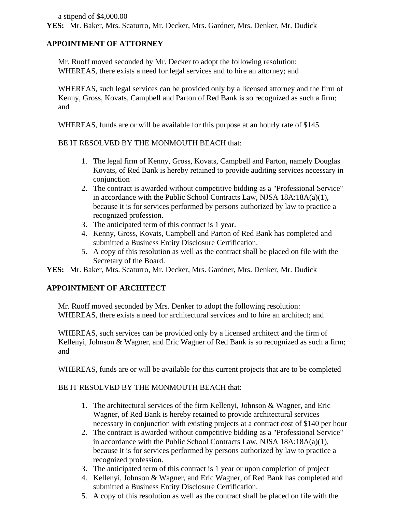a stipend of \$4,000.00

**YES:** Mr. Baker, Mrs. Scaturro, Mr. Decker, Mrs. Gardner, Mrs. Denker, Mr. Dudick

## **APPOINTMENT OF ATTORNEY**

Mr. Ruoff moved seconded by Mr. Decker to adopt the following resolution: WHEREAS, there exists a need for legal services and to hire an attorney; and

WHEREAS, such legal services can be provided only by a licensed attorney and the firm of Kenny, Gross, Kovats, Campbell and Parton of Red Bank is so recognized as such a firm; and

WHEREAS, funds are or will be available for this purpose at an hourly rate of \$145.

### BE IT RESOLVED BY THE MONMOUTH BEACH that:

- 1. The legal firm of Kenny, Gross, Kovats, Campbell and Parton, namely Douglas Kovats, of Red Bank is hereby retained to provide auditing services necessary in conjunction
- 2. The contract is awarded without competitive bidding as a "Professional Service" in accordance with the Public School Contracts Law, NJSA 18A:18A(a)(1), because it is for services performed by persons authorized by law to practice a recognized profession.
- 3. The anticipated term of this contract is 1 year.
- 4. Kenny, Gross, Kovats, Campbell and Parton of Red Bank has completed and submitted a Business Entity Disclosure Certification.
- 5. A copy of this resolution as well as the contract shall be placed on file with the Secretary of the Board.

**YES:** Mr. Baker, Mrs. Scaturro, Mr. Decker, Mrs. Gardner, Mrs. Denker, Mr. Dudick

### **APPOINTMENT OF ARCHITECT**

Mr. Ruoff moved seconded by Mrs. Denker to adopt the following resolution: WHEREAS, there exists a need for architectural services and to hire an architect; and

WHEREAS, such services can be provided only by a licensed architect and the firm of Kellenyi, Johnson & Wagner, and Eric Wagner of Red Bank is so recognized as such a firm; and

WHEREAS, funds are or will be available for this current projects that are to be completed

### BE IT RESOLVED BY THE MONMOUTH BEACH that:

- 1. The architectural services of the firm Kellenyi, Johnson & Wagner, and Eric Wagner, of Red Bank is hereby retained to provide architectural services necessary in conjunction with existing projects at a contract cost of \$140 per hour
- 2. The contract is awarded without competitive bidding as a "Professional Service" in accordance with the Public School Contracts Law, NJSA 18A:18A(a)(1), because it is for services performed by persons authorized by law to practice a recognized profession.
- 3. The anticipated term of this contract is 1 year or upon completion of project
- 4. Kellenyi, Johnson & Wagner, and Eric Wagner, of Red Bank has completed and submitted a Business Entity Disclosure Certification.
- 5. A copy of this resolution as well as the contract shall be placed on file with the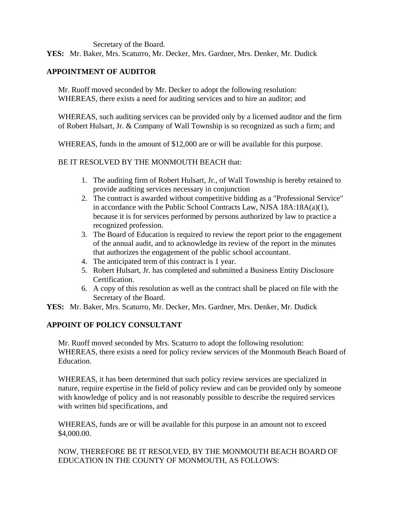Secretary of the Board.

**YES:** Mr. Baker, Mrs. Scaturro, Mr. Decker, Mrs. Gardner, Mrs. Denker, Mr. Dudick

## **APPOINTMENT OF AUDITOR**

Mr. Ruoff moved seconded by Mr. Decker to adopt the following resolution: WHEREAS, there exists a need for auditing services and to hire an auditor; and

WHEREAS, such auditing services can be provided only by a licensed auditor and the firm of Robert Hulsart, Jr. & Company of Wall Township is so recognized as such a firm; and

WHEREAS, funds in the amount of \$12,000 are or will be available for this purpose.

## BE IT RESOLVED BY THE MONMOUTH BEACH that:

- 1. The auditing firm of Robert Hulsart, Jr., of Wall Township is hereby retained to provide auditing services necessary in conjunction
- 2. The contract is awarded without competitive bidding as a "Professional Service" in accordance with the Public School Contracts Law, NJSA 18A:18A(a)(1), because it is for services performed by persons authorized by law to practice a recognized profession.
- 3. The Board of Education is required to review the report prior to the engagement of the annual audit, and to acknowledge its review of the report in the minutes that authorizes the engagement of the public school accountant.
- 4. The anticipated term of this contract is 1 year.
- 5. Robert Hulsart, Jr. has completed and submitted a Business Entity Disclosure Certification.
- 6. A copy of this resolution as well as the contract shall be placed on file with the Secretary of the Board.
- **YES:** Mr. Baker, Mrs. Scaturro, Mr. Decker, Mrs. Gardner, Mrs. Denker, Mr. Dudick

# **APPOINT OF POLICY CONSULTANT**

Mr. Ruoff moved seconded by Mrs. Scaturro to adopt the following resolution: WHEREAS, there exists a need for policy review services of the Monmouth Beach Board of Education.

WHEREAS, it has been determined that such policy review services are specialized in nature, require expertise in the field of policy review and can be provided only by someone with knowledge of policy and is not reasonably possible to describe the required services with written bid specifications, and

WHEREAS, funds are or will be available for this purpose in an amount not to exceed \$4,000.00.

NOW, THEREFORE BE IT RESOLVED, BY THE MONMOUTH BEACH BOARD OF EDUCATION IN THE COUNTY OF MONMOUTH, AS FOLLOWS: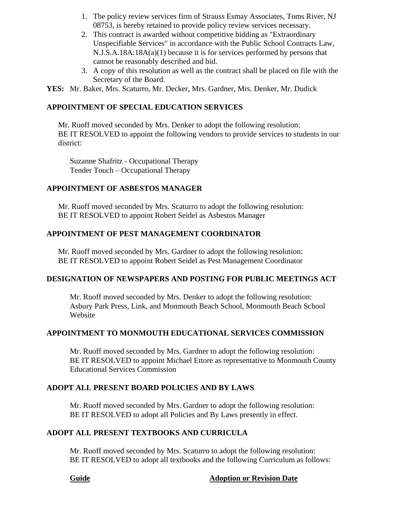- 1. The policy review services firm of Strauss Esmay Associates, Toms River, NJ 08753, is hereby retained to provide policy review services necessary.
- 2. This contract is awarded without competitive bidding as "Extraordinary Unspecifiable Services" in accordance with the Public School Contracts Law, N.J.S.A.18A:18A(a)(1) because it is for services performed by persons that cannot be reasonably described and bid.
- 3. A copy of this resolution as well as the contract shall be placed on file with the Secretary of the Board.

**YES:** Mr. Baker, Mrs. Scaturro, Mr. Decker, Mrs. Gardner, Mrs. Denker, Mr. Dudick

# **APPOINTMENT OF SPECIAL EDUCATION SERVICES**

Mr. Ruoff moved seconded by Mrs. Denker to adopt the following resolution: BE IT RESOLVED to appoint the following vendors to provide services to students in our district:

Suzanne Shafritz - Occupational Therapy Tender Touch – Occupational Therapy

# **APPOINTMENT OF ASBESTOS MANAGER**

Mr. Ruoff moved seconded by Mrs. Scaturro to adopt the following resolution: BE IT RESOLVED to appoint Robert Seidel as Asbestos Manager

## **APPOINTMENT OF PEST MANAGEMENT COORDINATOR**

Mr. Ruoff moved seconded by Mrs. Gardner to adopt the following resolution: BE IT RESOLVED to appoint Robert Seidel as Pest Management Coordinator

## **DESIGNATION OF NEWSPAPERS AND POSTING FOR PUBLIC MEETINGS ACT**

Mr. Ruoff moved seconded by Mrs. Denker to adopt the following resolution: Asbury Park Press, Link, and Monmouth Beach School, Monmouth Beach School Website

## **APPOINTMENT TO MONMOUTH EDUCATIONAL SERVICES COMMISSION**

Mr. Ruoff moved seconded by Mrs. Gardner to adopt the following resolution: BE IT RESOLVED to appoint Michael Ettore as representative to Monmouth County Educational Services Commission

## **ADOPT ALL PRESENT BOARD POLICIES AND BY LAWS**

Mr. Ruoff moved seconded by Mrs. Gardner to adopt the following resolution: BE IT RESOLVED to adopt all Policies and By Laws presently in effect.

## **ADOPT ALL PRESENT TEXTBOOKS AND CURRICULA**

Mr. Ruoff moved seconded by Mrs. Scaturro to adopt the following resolution: BE IT RESOLVED to adopt all textbooks and the following Curriculum as follows:

## **Guide Adoption or Revision Date**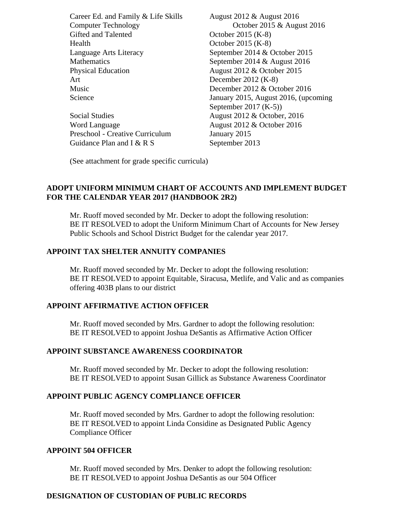Career Ed. and Family & Life Skills August 2012 & August 2016 Computer Technology October 2015 & August 2016 Gifted and Talented October 2015 (K-8) Health October 2015 (K-8) Language Arts Literacy September 2014 & October 2015 Mathematics September 2014 & August 2016 Physical Education August 2012 & October 2015 Art December 2012 (K-8) Music December 2012 & October 2016 Science **January 2015, August 2016, (upcoming** September 2017 (K-5)) Social Studies August 2012 & October, 2016 Word Language **August 2012 & October 2016** Preschool - Creative Curriculum January 2015 Guidance Plan and I  $\&$  R S September 2013

(See attachment for grade specific curricula)

## **ADOPT UNIFORM MINIMUM CHART OF ACCOUNTS AND IMPLEMENT BUDGET FOR THE CALENDAR YEAR 2017 (HANDBOOK 2R2)**

Mr. Ruoff moved seconded by Mr. Decker to adopt the following resolution: BE IT RESOLVED to adopt the Uniform Minimum Chart of Accounts for New Jersey Public Schools and School District Budget for the calendar year 2017.

### **APPOINT TAX SHELTER ANNUITY COMPANIES**

Mr. Ruoff moved seconded by Mr. Decker to adopt the following resolution: BE IT RESOLVED to appoint Equitable, Siracusa, Metlife, and Valic and as companies offering 403B plans to our district

### **APPOINT AFFIRMATIVE ACTION OFFICER**

Mr. Ruoff moved seconded by Mrs. Gardner to adopt the following resolution: BE IT RESOLVED to appoint Joshua DeSantis as Affirmative Action Officer

#### **APPOINT SUBSTANCE AWARENESS COORDINATOR**

Mr. Ruoff moved seconded by Mr. Decker to adopt the following resolution: BE IT RESOLVED to appoint Susan Gillick as Substance Awareness Coordinator

#### **APPOINT PUBLIC AGENCY COMPLIANCE OFFICER**

Mr. Ruoff moved seconded by Mrs. Gardner to adopt the following resolution: BE IT RESOLVED to appoint Linda Considine as Designated Public Agency Compliance Officer

#### **APPOINT 504 OFFICER**

Mr. Ruoff moved seconded by Mrs. Denker to adopt the following resolution: BE IT RESOLVED to appoint Joshua DeSantis as our 504 Officer

### **DESIGNATION OF CUSTODIAN OF PUBLIC RECORDS**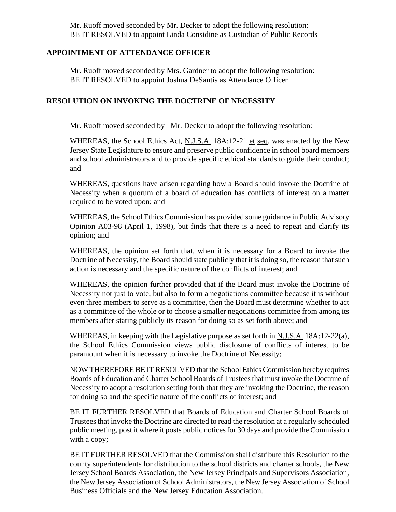Mr. Ruoff moved seconded by Mr. Decker to adopt the following resolution: BE IT RESOLVED to appoint Linda Considine as Custodian of Public Records

#### **APPOINTMENT OF ATTENDANCE OFFICER**

Mr. Ruoff moved seconded by Mrs. Gardner to adopt the following resolution: BE IT RESOLVED to appoint Joshua DeSantis as Attendance Officer

#### **RESOLUTION ON INVOKING THE DOCTRINE OF NECESSITY**

Mr. Ruoff moved seconded by Mr. Decker to adopt the following resolution:

WHEREAS, the School Ethics Act, N.J.S.A. 18A:12-21 et seq. was enacted by the New Jersey State Legislature to ensure and preserve public confidence in school board members and school administrators and to provide specific ethical standards to guide their conduct; and

WHEREAS, questions have arisen regarding how a Board should invoke the Doctrine of Necessity when a quorum of a board of education has conflicts of interest on a matter required to be voted upon; and

WHEREAS, the School Ethics Commission has provided some guidance in Public Advisory Opinion A03-98 (April 1, 1998), but finds that there is a need to repeat and clarify its opinion; and

WHEREAS, the opinion set forth that, when it is necessary for a Board to invoke the Doctrine of Necessity, the Board should state publicly that it is doing so, the reason that such action is necessary and the specific nature of the conflicts of interest; and

WHEREAS, the opinion further provided that if the Board must invoke the Doctrine of Necessity not just to vote, but also to form a negotiations committee because it is without even three members to serve as a committee, then the Board must determine whether to act as a committee of the whole or to choose a smaller negotiations committee from among its members after stating publicly its reason for doing so as set forth above; and

WHEREAS, in keeping with the Legislative purpose as set forth in N.J.S.A. 18A:12-22(a), the School Ethics Commission views public disclosure of conflicts of interest to be paramount when it is necessary to invoke the Doctrine of Necessity;

NOW THEREFORE BE IT RESOLVED that the School Ethics Commission hereby requires Boards of Education and Charter School Boards of Trustees that must invoke the Doctrine of Necessity to adopt a resolution setting forth that they are invoking the Doctrine, the reason for doing so and the specific nature of the conflicts of interest; and

BE IT FURTHER RESOLVED that Boards of Education and Charter School Boards of Trustees that invoke the Doctrine are directed to read the resolution at a regularly scheduled public meeting, post it where it posts public notices for 30 days and provide the Commission with a copy;

BE IT FURTHER RESOLVED that the Commission shall distribute this Resolution to the county superintendents for distribution to the school districts and charter schools, the New Jersey School Boards Association, the New Jersey Principals and Supervisors Association, the New Jersey Association of School Administrators, the New Jersey Association of School Business Officials and the New Jersey Education Association.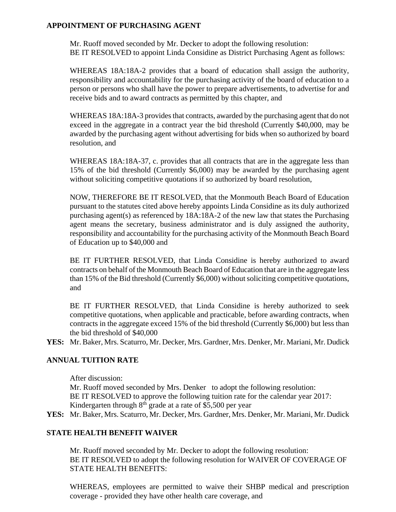## **APPOINTMENT OF PURCHASING AGENT**

Mr. Ruoff moved seconded by Mr. Decker to adopt the following resolution: BE IT RESOLVED to appoint Linda Considine as District Purchasing Agent as follows:

WHEREAS 18A:18A-2 provides that a board of education shall assign the authority, responsibility and accountability for the purchasing activity of the board of education to a person or persons who shall have the power to prepare advertisements, to advertise for and receive bids and to award contracts as permitted by this chapter, and

WHEREAS 18A:18A-3 provides that contracts, awarded by the purchasing agent that do not exceed in the aggregate in a contract year the bid threshold (Currently \$40,000, may be awarded by the purchasing agent without advertising for bids when so authorized by board resolution, and

WHEREAS 18A:18A-37, c. provides that all contracts that are in the aggregate less than 15% of the bid threshold (Currently \$6,000) may be awarded by the purchasing agent without soliciting competitive quotations if so authorized by board resolution,

NOW, THEREFORE BE IT RESOLVED, that the Monmouth Beach Board of Education pursuant to the statutes cited above hereby appoints Linda Considine as its duly authorized purchasing agent(s) as referenced by 18A:18A-2 of the new law that states the Purchasing agent means the secretary, business administrator and is duly assigned the authority, responsibility and accountability for the purchasing activity of the Monmouth Beach Board of Education up to \$40,000 and

BE IT FURTHER RESOLVED, that Linda Considine is hereby authorized to award contracts on behalf of the Monmouth Beach Board of Education that are in the aggregate less than 15% of the Bid threshold (Currently \$6,000) without soliciting competitive quotations, and

BE IT FURTHER RESOLVED, that Linda Considine is hereby authorized to seek competitive quotations, when applicable and practicable, before awarding contracts, when contracts in the aggregate exceed 15% of the bid threshold (Currently \$6,000) but less than the bid threshold of \$40,000

**YES:** Mr. Baker, Mrs. Scaturro, Mr. Decker, Mrs. Gardner, Mrs. Denker, Mr. Mariani, Mr. Dudick

## **ANNUAL TUITION RATE**

After discussion:

Mr. Ruoff moved seconded by Mrs. Denker to adopt the following resolution: BE IT RESOLVED to approve the following tuition rate for the calendar year 2017: Kindergarten through  $8<sup>th</sup>$  grade at a rate of \$5,500 per year

**YES:** Mr. Baker, Mrs. Scaturro, Mr. Decker, Mrs. Gardner, Mrs. Denker, Mr. Mariani, Mr. Dudick

### **STATE HEALTH BENEFIT WAIVER**

Mr. Ruoff moved seconded by Mr. Decker to adopt the following resolution: BE IT RESOLVED to adopt the following resolution for WAIVER OF COVERAGE OF STATE HEALTH BENEFITS:

WHEREAS, employees are permitted to waive their SHBP medical and prescription coverage - provided they have other health care coverage, and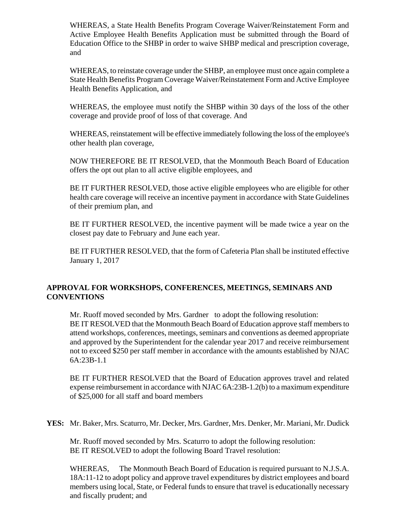WHEREAS, a State Health Benefits Program Coverage Waiver/Reinstatement Form and Active Employee Health Benefits Application must be submitted through the Board of Education Office to the SHBP in order to waive SHBP medical and prescription coverage, and

WHEREAS, to reinstate coverage under the SHBP, an employee must once again complete a State Health Benefits Program Coverage Waiver/Reinstatement Form and Active Employee Health Benefits Application, and

WHEREAS, the employee must notify the SHBP within 30 days of the loss of the other coverage and provide proof of loss of that coverage. And

WHEREAS, reinstatement will be effective immediately following the loss of the employee's other health plan coverage,

NOW THEREFORE BE IT RESOLVED, that the Monmouth Beach Board of Education offers the opt out plan to all active eligible employees, and

BE IT FURTHER RESOLVED, those active eligible employees who are eligible for other health care coverage will receive an incentive payment in accordance with State Guidelines of their premium plan, and

BE IT FURTHER RESOLVED, the incentive payment will be made twice a year on the closest pay date to February and June each year.

BE IT FURTHER RESOLVED, that the form of Cafeteria Plan shall be instituted effective January 1, 2017

## **APPROVAL FOR WORKSHOPS, CONFERENCES, MEETINGS, SEMINARS AND CONVENTIONS**

Mr. Ruoff moved seconded by Mrs. Gardner to adopt the following resolution: BE IT RESOLVED that the Monmouth Beach Board of Education approve staff members to attend workshops, conferences, meetings, seminars and conventions as deemed appropriate and approved by the Superintendent for the calendar year 2017 and receive reimbursement not to exceed \$250 per staff member in accordance with the amounts established by NJAC 6A:23B-1.1

BE IT FURTHER RESOLVED that the Board of Education approves travel and related expense reimbursement in accordance with NJAC 6A:23B-1.2(b) to a maximum expenditure of \$25,000 for all staff and board members

**YES:** Mr. Baker, Mrs. Scaturro, Mr. Decker, Mrs. Gardner, Mrs. Denker, Mr. Mariani, Mr. Dudick

Mr. Ruoff moved seconded by Mrs. Scaturro to adopt the following resolution: BE IT RESOLVED to adopt the following Board Travel resolution:

WHEREAS, The Monmouth Beach Board of Education is required pursuant to N.J.S.A. 18A:11-12 to adopt policy and approve travel expenditures by district employees and board members using local, State, or Federal funds to ensure that travel is educationally necessary and fiscally prudent; and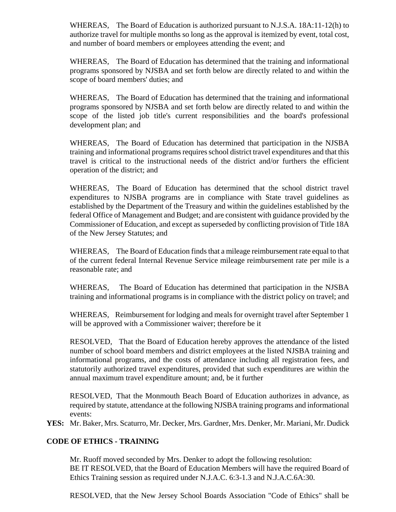WHEREAS, The Board of Education is authorized pursuant to N.J.S.A. 18A:11-12(h) to authorize travel for multiple months so long as the approval is itemized by event, total cost, and number of board members or employees attending the event; and

WHEREAS, The Board of Education has determined that the training and informational programs sponsored by NJSBA and set forth below are directly related to and within the scope of board members' duties; and

WHEREAS, The Board of Education has determined that the training and informational programs sponsored by NJSBA and set forth below are directly related to and within the scope of the listed job title's current responsibilities and the board's professional development plan; and

WHEREAS, The Board of Education has determined that participation in the NJSBA training and informational programs requires school district travel expenditures and that this travel is critical to the instructional needs of the district and/or furthers the efficient operation of the district; and

WHEREAS, The Board of Education has determined that the school district travel expenditures to NJSBA programs are in compliance with State travel guidelines as established by the Department of the Treasury and within the guidelines established by the federal Office of Management and Budget; and are consistent with guidance provided by the Commissioner of Education, and except as superseded by conflicting provision of Title 18A of the New Jersey Statutes; and

WHEREAS, The Board of Education finds that a mileage reimbursement rate equal to that of the current federal Internal Revenue Service mileage reimbursement rate per mile is a reasonable rate; and

WHEREAS, The Board of Education has determined that participation in the NJSBA training and informational programs is in compliance with the district policy on travel; and

WHEREAS, Reimbursement for lodging and meals for overnight travel after September 1 will be approved with a Commissioner waiver; therefore be it

RESOLVED, That the Board of Education hereby approves the attendance of the listed number of school board members and district employees at the listed NJSBA training and informational programs, and the costs of attendance including all registration fees, and statutorily authorized travel expenditures, provided that such expenditures are within the annual maximum travel expenditure amount; and, be it further

RESOLVED, That the Monmouth Beach Board of Education authorizes in advance, as required by statute, attendance at the following NJSBA training programs and informational events:

**YES:** Mr. Baker, Mrs. Scaturro, Mr. Decker, Mrs. Gardner, Mrs. Denker, Mr. Mariani, Mr. Dudick

# **CODE OF ETHICS - TRAINING**

Mr. Ruoff moved seconded by Mrs. Denker to adopt the following resolution: BE IT RESOLVED, that the Board of Education Members will have the required Board of Ethics Training session as required under N.J.A.C. 6:3-1.3 and N.J.A.C.6A:30.

RESOLVED, that the New Jersey School Boards Association "Code of Ethics" shall be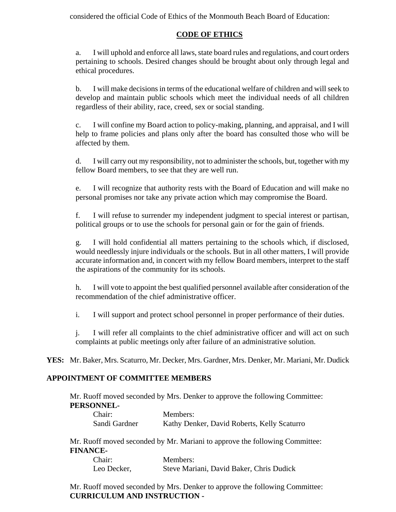considered the official Code of Ethics of the Monmouth Beach Board of Education:

# **CODE OF ETHICS**

a. I will uphold and enforce all laws, state board rules and regulations, and court orders pertaining to schools. Desired changes should be brought about only through legal and ethical procedures.

b. I will make decisions in terms of the educational welfare of children and will seek to develop and maintain public schools which meet the individual needs of all children regardless of their ability, race, creed, sex or social standing.

c. I will confine my Board action to policy-making, planning, and appraisal, and I will help to frame policies and plans only after the board has consulted those who will be affected by them.

d. I will carry out my responsibility, not to administer the schools, but, together with my fellow Board members, to see that they are well run.

e. I will recognize that authority rests with the Board of Education and will make no personal promises nor take any private action which may compromise the Board.

f. I will refuse to surrender my independent judgment to special interest or partisan, political groups or to use the schools for personal gain or for the gain of friends.

g. I will hold confidential all matters pertaining to the schools which, if disclosed, would needlessly injure individuals or the schools. But in all other matters, I will provide accurate information and, in concert with my fellow Board members, interpret to the staff the aspirations of the community for its schools.

h. I will vote to appoint the best qualified personnel available after consideration of the recommendation of the chief administrative officer.

i. I will support and protect school personnel in proper performance of their duties.

j. I will refer all complaints to the chief administrative officer and will act on such complaints at public meetings only after failure of an administrative solution.

**YES:** Mr. Baker, Mrs. Scaturro, Mr. Decker, Mrs. Gardner, Mrs. Denker, Mr. Mariani, Mr. Dudick

## **APPOINTMENT OF COMMITTEE MEMBERS**

Mr. Ruoff moved seconded by Mrs. Denker to approve the following Committee: **PERSONNEL-**

| Chair:        | Members:                                    |
|---------------|---------------------------------------------|
| Sandi Gardner | Kathy Denker, David Roberts, Kelly Scaturro |

Mr. Ruoff moved seconded by Mr. Mariani to approve the following Committee: **FINANCE-**

| Chair:      | Members:                                 |
|-------------|------------------------------------------|
| Leo Decker, | Steve Mariani, David Baker, Chris Dudick |

Mr. Ruoff moved seconded by Mrs. Denker to approve the following Committee: **CURRICULUM AND INSTRUCTION -**